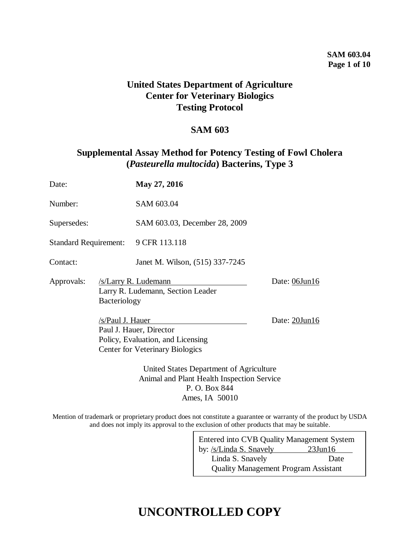### **SAM 603.04 Page 1 of 10**

## **United States Department of Agriculture Center for Veterinary Biologics Testing Protocol**

### **SAM 603**

## **Supplemental Assay Method for Potency Testing of Fowl Cholera (***Pasteurella multocida***) Bacterins, Type 3**

| Date:                               |                  | May 27, 2016                                                                                           |               |  |
|-------------------------------------|------------------|--------------------------------------------------------------------------------------------------------|---------------|--|
| Number:                             |                  | SAM 603.04                                                                                             |               |  |
| Supersedes:                         |                  | SAM 603.03, December 28, 2009                                                                          |               |  |
| Standard Requirement: 9 CFR 113.118 |                  |                                                                                                        |               |  |
| Contact:                            |                  | Janet M. Wilson, (515) 337-7245                                                                        |               |  |
| Approvals:                          | Bacteriology     | /s/Larry R. Ludemann<br>Larry R. Ludemann, Section Leader                                              | Date: 06Jun16 |  |
|                                     | /s/Paul J. Hauer | Paul J. Hauer, Director<br>Policy, Evaluation, and Licensing<br><b>Center for Veterinary Biologics</b> | Date: 20Jun16 |  |
|                                     |                  | United States Department of Agriculture<br>Animal and Plant Health Inspection Service                  |               |  |

Mention of trademark or proprietary product does not constitute a guarantee or warranty of the product by USDA and does not imply its approval to the exclusion of other products that may be suitable.

P. O. Box 844 Ames, IA 50010

| Entered into CVB Quality Management System  |               |  |  |  |  |
|---------------------------------------------|---------------|--|--|--|--|
| by: /s/Linda S. Snavely                     | $23$ Jun $16$ |  |  |  |  |
| Linda S. Snavely                            | Date          |  |  |  |  |
| <b>Quality Management Program Assistant</b> |               |  |  |  |  |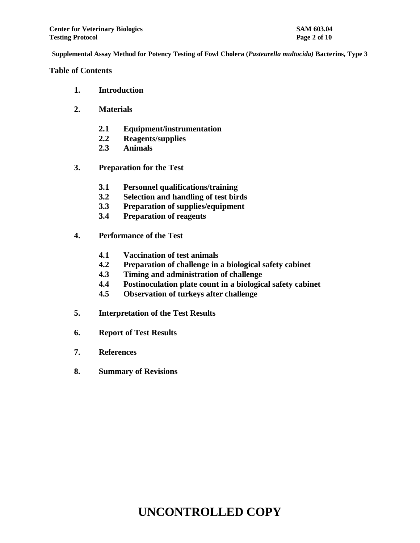#### **Table of Contents**

- **1. Introduction**
- **2. Materials**
	- **2.1 Equipment/instrumentation**
	- **2.2 Reagents/supplies**
	- **2.3 Animals**
- **3. Preparation for the Test**
	- **3.1 Personnel qualifications/training**
	- **3.2 Selection and handling of test birds**
	- **3.3 Preparation of supplies/equipment**
	- **3.4 Preparation of reagents**
- **4. Performance of the Test**
	- **4.1 Vaccination of test animals**
	- **4.2 Preparation of challenge in a biological safety cabinet**
	- **4.3 Timing and administration of challenge**
	- **4.4 Postinoculation plate count in a biological safety cabinet**
	- **4.5 Observation of turkeys after challenge**
- **5. Interpretation of the Test Results**
- **6. Report of Test Results**
- **7. References**
- **8. Summary of Revisions**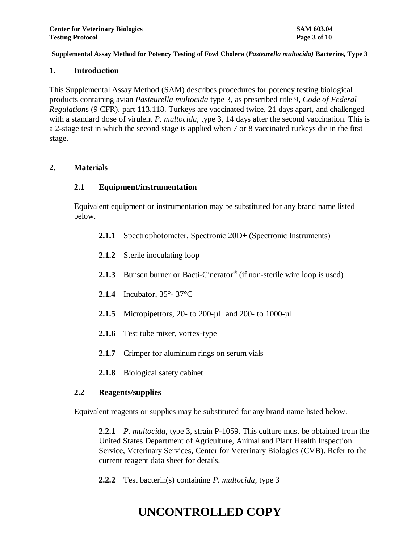#### **1. Introduction**

This Supplemental Assay Method (SAM) describes procedures for potency testing biological products containing avian *Pasteurella multocida* type 3, as prescribed title 9, *Code of Federal Regulation*s (9 CFR), part 113.118. Turkeys are vaccinated twice, 21 days apart, and challenged with a standard dose of virulent *P. multocida,* type 3, 14 days after the second vaccination. This is a 2-stage test in which the second stage is applied when 7 or 8 vaccinated turkeys die in the first stage.

### **2. Materials**

### **2.1 Equipment/instrumentation**

Equivalent equipment or instrumentation may be substituted for any brand name listed below.

- **2.1.1** Spectrophotometer, Spectronic 20D+ (Spectronic Instruments)
- **2.1.2** Sterile inoculating loop
- 2.1.3 Bunsen burner or Bacti-Cinerator<sup>®</sup> (if non-sterile wire loop is used)
- **2.1.4** Incubator, 35°- 37°C
- **2.1.5** Micropipettors, 20- to 200-µL and 200- to 1000-µL
- **2.1.6** Test tube mixer, vortex-type
- **2.1.7** Crimper for aluminum rings on serum vials
- **2.1.8** Biological safety cabinet

#### **2.2 Reagents/supplies**

Equivalent reagents or supplies may be substituted for any brand name listed below.

**2.2.1** *P. multocida*, type 3, strain P-1059. This culture must be obtained from the United States Department of Agriculture, Animal and Plant Health Inspection Service, Veterinary Services, Center for Veterinary Biologics (CVB). Refer to the current reagent data sheet for details.

**2.2.2** Test bacterin(s) containing *P. multocida,* type 3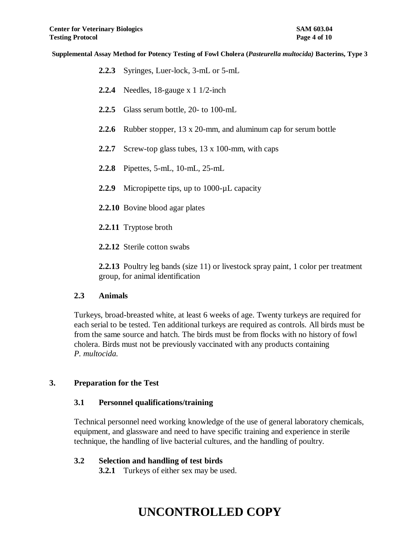- **2.2.3** Syringes, Luer-lock, 3-mL or 5-mL
- **2.2.4** Needles, 18-gauge x 1 1/2-inch
- **2.2.5** Glass serum bottle, 20- to 100-mL
- **2.2.6** Rubber stopper, 13 x 20-mm, and aluminum cap for serum bottle
- **2.2.7** Screw-top glass tubes, 13 x 100-mm, with caps
- **2.2.8** Pipettes, 5-mL, 10-mL, 25-mL
- 2.2.9 Micropipette tips, up to 1000-µL capacity
- **2.2.10** Bovine blood agar plates
- **2.2.11** Tryptose broth
- **2.2.12** Sterile cotton swabs

**2.2.13** Poultry leg bands (size 11) or livestock spray paint, 1 color per treatment group, for animal identification

### **2.3 Animals**

Turkeys, broad-breasted white, at least 6 weeks of age. Twenty turkeys are required for each serial to be tested. Ten additional turkeys are required as controls. All birds must be from the same source and hatch. The birds must be from flocks with no history of fowl cholera. Birds must not be previously vaccinated with any products containing *P. multocida.* 

### **3. Preparation for the Test**

### **3.1 Personnel qualifications/training**

Technical personnel need working knowledge of the use of general laboratory chemicals, equipment, and glassware and need to have specific training and experience in sterile technique, the handling of live bacterial cultures, and the handling of poultry.

### **3.2 Selection and handling of test birds**

**3.2.1** Turkeys of either sex may be used.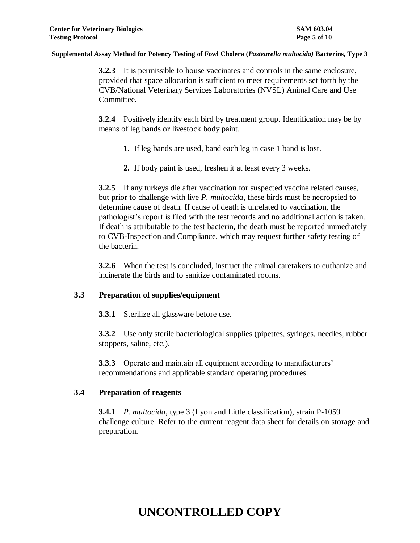**3.2.3** It is permissible to house vaccinates and controls in the same enclosure, provided that space allocation is sufficient to meet requirements set forth by the CVB/National Veterinary Services Laboratories (NVSL) Animal Care and Use Committee.

**3.2.4** Positively identify each bird by treatment group. Identification may be by means of leg bands or livestock body paint.

- **1**. If leg bands are used, band each leg in case 1 band is lost.
- **2.** If body paint is used, freshen it at least every 3 weeks.

**3.2.5** If any turkeys die after vaccination for suspected vaccine related causes, but prior to challenge with live *P. multocida*, these birds must be necropsied to determine cause of death. If cause of death is unrelated to vaccination, the pathologist's report is filed with the test records and no additional action is taken. If death is attributable to the test bacterin, the death must be reported immediately to CVB-Inspection and Compliance, which may request further safety testing of the bacterin.

**3.2.6** When the test is concluded, instruct the animal caretakers to euthanize and incinerate the birds and to sanitize contaminated rooms.

### **3.3 Preparation of supplies/equipment**

**3.3.1** Sterilize all glassware before use.

**3.3.2** Use only sterile bacteriological supplies (pipettes, syringes, needles, rubber stoppers, saline, etc.).

**3.3.3** Operate and maintain all equipment according to manufacturers' recommendations and applicable standard operating procedures.

### **3.4 Preparation of reagents**

**3.4.1** *P. multocida*, type 3 (Lyon and Little classification), strain P-1059 challenge culture. Refer to the current reagent data sheet for details on storage and preparation.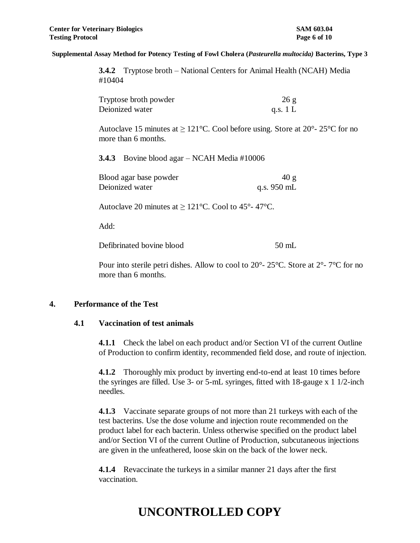**3.4.2** Tryptose broth – National Centers for Animal Health (NCAH) Media #10404

| Tryptose broth powder | 26g        |
|-----------------------|------------|
| Deionized water       | q.s. $1 L$ |

Autoclave 15 minutes at  $\geq 121^{\circ}$ C. Cool before using. Store at  $20^{\circ}$ - 25<sup>o</sup>C for no more than 6 months.

**3.4.3** Bovine blood agar – NCAH Media #10006

| Blood agar base powder | 40 g                  |
|------------------------|-----------------------|
| Deionized water        | q.s. $950 \text{ mL}$ |

Autoclave 20 minutes at  $\geq 121^{\circ}$ C. Cool to 45°-47°C.

Add:

Defibrinated bovine blood 50 mL

Pour into sterile petri dishes. Allow to cool to 20°- 25°C. Store at 2°- 7°C for no

### **4. Performance of the Test**

### **4.1 Vaccination of test animals**

more than 6 months.

**4.1.1** Check the label on each product and/or Section VI of the current Outline of Production to confirm identity, recommended field dose, and route of injection.

**4.1.2** Thoroughly mix product by inverting end-to-end at least 10 times before the syringes are filled. Use 3- or 5-mL syringes, fitted with 18-gauge x 1 1/2-inch needles.

**4.1.3** Vaccinate separate groups of not more than 21 turkeys with each of the test bacterins. Use the dose volume and injection route recommended on the product label for each bacterin. Unless otherwise specified on the product label and/or Section VI of the current Outline of Production, subcutaneous injections are given in the unfeathered, loose skin on the back of the lower neck.

**4.1.4** Revaccinate the turkeys in a similar manner 21 days after the first vaccination.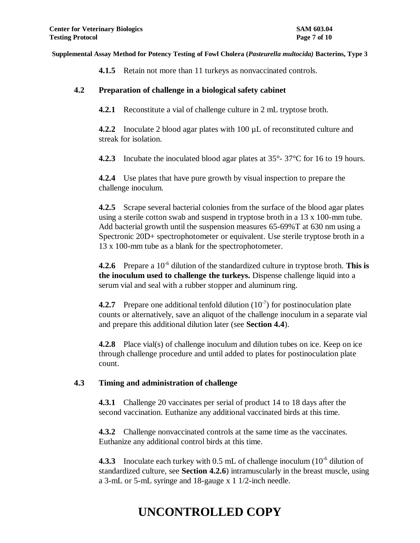**4.1.5** Retain not more than 11 turkeys as nonvaccinated controls.

### **4.2 Preparation of challenge in a biological safety cabinet**

**4.2.1** Reconstitute a vial of challenge culture in 2 mL tryptose broth.

**4.2.2** Inoculate 2 blood agar plates with 100 µL of reconstituted culture and streak for isolation.

**4.2.3** Incubate the inoculated blood agar plates at 35°- 37°C for 16 to 19 hours.

**4.2.4** Use plates that have pure growth by visual inspection to prepare the challenge inoculum.

**4.2.5** Scrape several bacterial colonies from the surface of the blood agar plates using a sterile cotton swab and suspend in tryptose broth in a 13 x 100-mm tube. Add bacterial growth until the suspension measures 65-69%T at 630 nm using a Spectronic 20D+ spectrophotometer or equivalent. Use sterile tryptose broth in a 13 x 100-mm tube as a blank for the spectrophotometer.

**4.2.6** Prepare a 10<sup>-6</sup> dilution of the standardized culture in tryptose broth. This is **the inoculum used to challenge the turkeys.** Dispense challenge liquid into a serum vial and seal with a rubber stopper and aluminum ring.

**4.2.7** Prepare one additional tenfold dilution  $(10^{-7})$  for postinoculation plate counts or alternatively, save an aliquot of the challenge inoculum in a separate vial and prepare this additional dilution later (see **Section 4.4**).

**4.2.8** Place vial(s) of challenge inoculum and dilution tubes on ice. Keep on ice through challenge procedure and until added to plates for postinoculation plate count.

### **4.3 Timing and administration of challenge**

**4.3.1** Challenge 20 vaccinates per serial of product 14 to 18 days after the second vaccination. Euthanize any additional vaccinated birds at this time.

**4.3.2** Challenge nonvaccinated controls at the same time as the vaccinates. Euthanize any additional control birds at this time.

**4.3.3** Inoculate each turkey with  $0.5$  mL of challenge inoculum  $(10^{-6}$  dilution of standardized culture, see **Section 4.2.6**) intramuscularly in the breast muscle, using a 3-mL or 5-mL syringe and 18-gauge x 1 1/2-inch needle.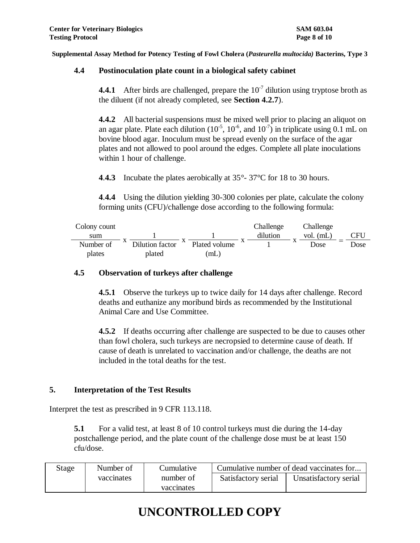### **4.4 Postinoculation plate count in a biological safety cabinet**

**4.4.1** After birds are challenged, prepare the  $10<sup>-7</sup>$  dilution using tryptose broth as the diluent (if not already completed, see **Section 4.2.7**).

**4.4.2** All bacterial suspensions must be mixed well prior to placing an aliquot on an agar plate. Plate each dilution  $(10^{-5}, 10^{-6}, \text{ and } 10^{-7})$  in triplicate using 0.1 mL on bovine blood agar. Inoculum must be spread evenly on the surface of the agar plates and not allowed to pool around the edges. Complete all plate inoculations within 1 hour of challenge.

**4**.**4.3** Incubate the plates aerobically at 35°- 37°C for 18 to 30 hours.

**4**.**4.4** Using the dilution yielding 30-300 colonies per plate, calculate the colony forming units (CFU)/challenge dose according to the following formula:

| Colony count |                 |               | Challenge | Challenge   |      |
|--------------|-----------------|---------------|-----------|-------------|------|
| sum          |                 |               | dilution  | vol. $(mL)$ | CFU  |
| Number of    | Dilution factor | Plated volume |           | Dose        | Dose |
| plates       | plated          | mL,           |           |             |      |

### **4.5 Observation of turkeys after challenge**

**4.5.1** Observe the turkeys up to twice daily for 14 days after challenge. Record deaths and euthanize any moribund birds as recommended by the Institutional Animal Care and Use Committee.

**4.5.2** If deaths occurring after challenge are suspected to be due to causes other than fowl cholera, such turkeys are necropsied to determine cause of death. If cause of death is unrelated to vaccination and/or challenge, the deaths are not included in the total deaths for the test.

### **5. Interpretation of the Test Results**

Interpret the test as prescribed in 9 CFR 113.118.

**5.1** For a valid test, at least 8 of 10 control turkeys must die during the 14-day postchallenge period, and the plate count of the challenge dose must be at least 150 cfu/dose.

| Stage | Number of  | Cumulative              | Cumulative number of dead vaccinates for |                       |  |
|-------|------------|-------------------------|------------------------------------------|-----------------------|--|
|       | vaccinates | number of<br>vaccinates | Satisfactory serial                      | Unsatisfactory serial |  |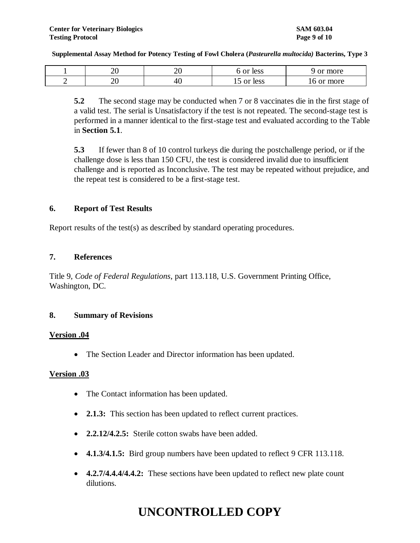|   | ില<br>∠∪  | ┑.<br>$\sim$ | <b>or</b><br>less                        | more<br>Λť<br>பட |
|---|-----------|--------------|------------------------------------------|------------------|
| ∽ | n c<br>∠∪ | ப<br>т.      | 100c<br>$\sim$ r<br>ມບບບ<br>⊥ັ<br>------ | more<br>______   |

**5.2** The second stage may be conducted when 7 or 8 vaccinates die in the first stage of a valid test. The serial is Unsatisfactory if the test is not repeated. The second-stage test is performed in a manner identical to the first-stage test and evaluated according to the Table in **Section 5.1**.

**5.3** If fewer than 8 of 10 control turkeys die during the postchallenge period, or if the challenge dose is less than 150 CFU, the test is considered invalid due to insufficient challenge and is reported as Inconclusive. The test may be repeated without prejudice, and the repeat test is considered to be a first-stage test.

### **6. Report of Test Results**

Report results of the test(s) as described by standard operating procedures.

#### **7. References**

Title 9, *Code of Federal Regulations*, part 113.118, U.S. Government Printing Office, Washington, DC.

### **8. Summary of Revisions**

### **Version .04**

• The Section Leader and Director information has been updated.

### **Version .03**

- The Contact information has been updated.
- **2.1.3:** This section has been updated to reflect current practices.
- **2.2.12/4.2.5:** Sterile cotton swabs have been added.
- **4.1.3/4.1.5:** Bird group numbers have been updated to reflect 9 CFR 113.118.
- **4.2.7/4.4.4/4.4.2:** These sections have been updated to reflect new plate count dilutions.